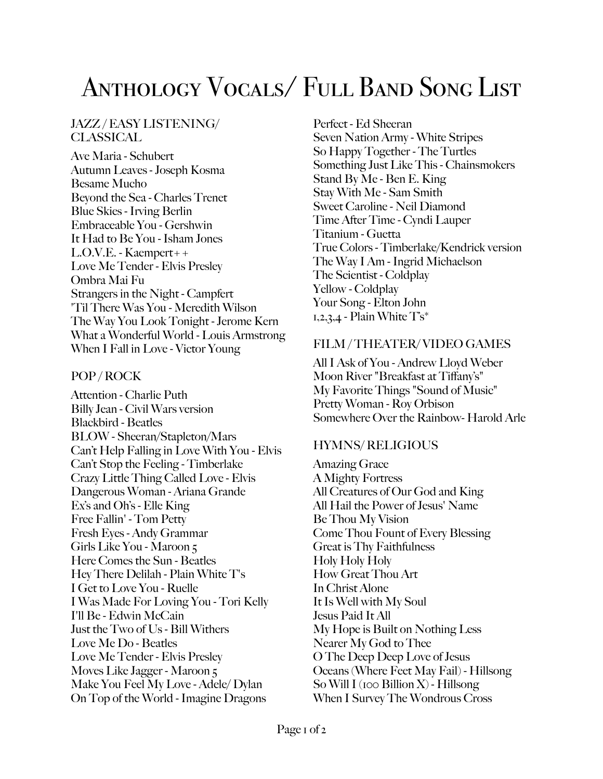# Anthology Vocals/ Full Band Song List

### JAZZ / EASY LISTENING/ CLASSICAL.

Ave Maria - Schubert Autumn Leaves - Joseph Kosma Besame Mucho Beyond the Sea - Charles Trenet Blue Skies - Irving Berlin Embraceable You - Gershwin It Had to Be You - Isham Jones L.O.V.E. - Kaempert++ Love Me Tender - Elvis Presley Ombra Mai Fu Strangers in the Night - Campfert 'Til There Was You - Meredith Wilson The Way You Look Tonight - Jerome Kern What a Wonderful World - Louis Armstrong When I Fall in Love - Victor Young

#### POP / ROCK

Attention - Charlie Puth Billy Jean - Civil Wars version Blackbird - Beatles BLOW - Sheeran/Stapleton/Mars Can't Help Falling in Love With You - Elvis Can't Stop the Feeling - Timberlake Crazy Little Thing Called Love - Elvis Dangerous Woman - Ariana Grande Ex's and Oh's - Elle King Free Fallin' - Tom Petty Fresh Eyes - Andy Grammar Girls Like You - Maroon 5 Here Comes the Sun - Beatles Hey There Delilah - Plain White T's I Get to Love You - Ruelle I Was Made For Loving You - Tori Kelly I'll Be - Edwin McCain Just the Two of Us - Bill Withers Love Me Do - Beatles Love Me Tender - Elvis Presley Moves Like Jagger - Maroon 5 Make You Feel My Love - Adele/ Dylan On Top of the World - Imagine Dragons

Perfect - Ed Sheeran Seven Nation Army - White Stripes So Happy Together - The Turtles Something Just Like This - Chainsmokers Stand By Me - Ben E. King Stay With Me - Sam Smith Sweet Caroline - Neil Diamond Time After Time - Cyndi Lauper Titanium - Guetta True Colors - Timberlake/Kendrick version The Way I Am - Ingrid Michaelson The Scientist - Coldplay Yellow - Coldplay Your Song - Elton John  $1,2,3,4$  - Plain White  $T\mathbf{s}^*$ 

#### FILM / THEATER/ VIDEO GAMES

All I Ask of You - Andrew Lloyd Weber Moon River "Breakfast at Tiffany's" My Favorite Things "Sound of Music" Pretty Woman - Roy Orbison Somewhere Over the Rainbow- Harold Arle

#### HYMNS/ RELIGIOUS

Amazing Grace A Mighty Fortress All Creatures of Our God and King All Hail the Power of Jesus' Name Be Thou My Vision Come Thou Fount of Every Blessing Great is Thy Faithfulness Holy Holy Holy How Great Thou Art In Christ Alone It Is Well with My Soul Jesus Paid It All My Hope is Built on Nothing Less Nearer My God to Thee O The Deep Deep Love of Jesus Oceans (Where Feet May Fail) - Hillsong So Will I (100 Billion X) - Hillsong When I Survey The Wondrous Cross